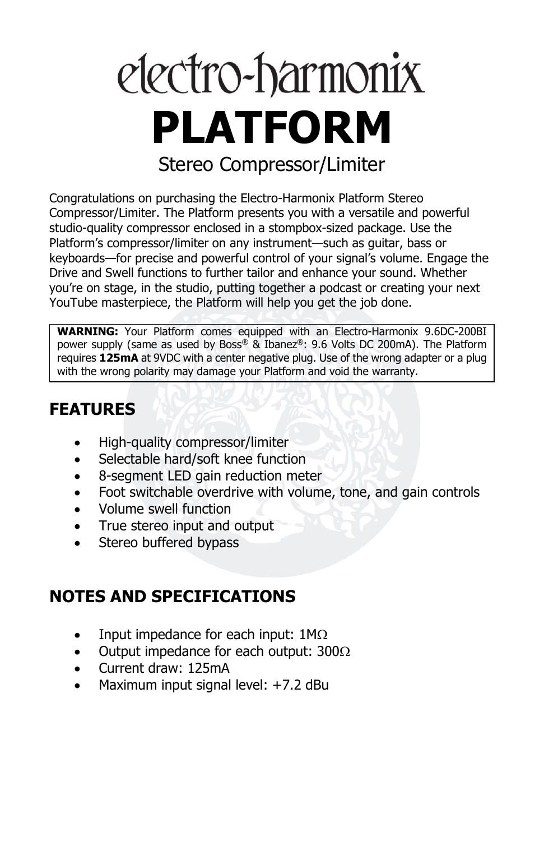# electro-harmonix **PLATFORM** Stereo Compressor/Limiter

Congratulations on purchasing the Electro-Harmonix Platform Stereo Compressor/Limiter. The Platform presents you with a versatile and powerful studio-quality compressor enclosed in a stompbox-sized package. Use the Platform's compressor/limiter on any instrument—such as guitar, bass or keyboards—for precise and powerful control of your signal's volume. Engage the Drive and Swell functions to further tailor and enhance your sound. Whether you're on stage, in the studio, putting together a podcast or creating your next YouTube masterpiece, the Platform will help you get the job done.

**WARNING:** Your Platform comes equipped with an Electro-Harmonix 9.6DC-200BI power supply (same as used by Boss® & Ibanez®: 9.6 Volts DC 200mA). The Platform requires **125mA** at 9VDC with a center negative plug. Use of the wrong adapter or a plug with the wrong polarity may damage your Platform and void the warranty.

# **FEATURES**

- High-quality compressor/limiter
- Selectable hard/soft knee function
- 8-segment LED gain reduction meter
- Foot switchable overdrive with volume, tone, and gain controls
- Volume swell function
- True stereo input and output
- Stereo buffered bypass

# **NOTES AND SPECIFICATIONS**

- Input impedance for each input:  $1M\Omega$
- Output impedance for each output:  $300\Omega$
- Current draw: 125mA
- Maximum input signal level: +7.2 dBu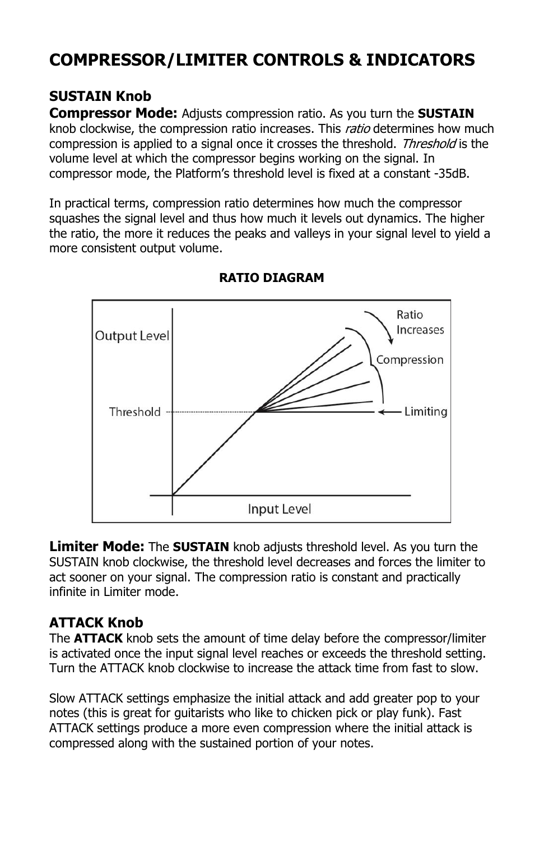# **COMPRESSOR/LIMITER CONTROLS & INDICATORS**

#### **SUSTAIN Knob**

**Compressor Mode:** Adjusts compression ratio. As you turn the **SUSTAIN** knob clockwise, the compression ratio increases. This *ratio* determines how much compression is applied to a signal once it crosses the threshold. Threshold is the volume level at which the compressor begins working on the signal. In compressor mode, the Platform's threshold level is fixed at a constant -35dB.

In practical terms, compression ratio determines how much the compressor squashes the signal level and thus how much it levels out dynamics. The higher the ratio, the more it reduces the peaks and valleys in your signal level to yield a more consistent output volume.



#### **RATIO DIAGRAM**

**Limiter Mode:** The **SUSTAIN** knob adjusts threshold level. As you turn the SUSTAIN knob clockwise, the threshold level decreases and forces the limiter to act sooner on your signal. The compression ratio is constant and practically infinite in Limiter mode.

#### **ATTACK Knob**

The **ATTACK** knob sets the amount of time delay before the compressor/limiter is activated once the input signal level reaches or exceeds the threshold setting. Turn the ATTACK knob clockwise to increase the attack time from fast to slow.

Slow ATTACK settings emphasize the initial attack and add greater pop to your notes (this is great for guitarists who like to chicken pick or play funk). Fast ATTACK settings produce a more even compression where the initial attack is compressed along with the sustained portion of your notes.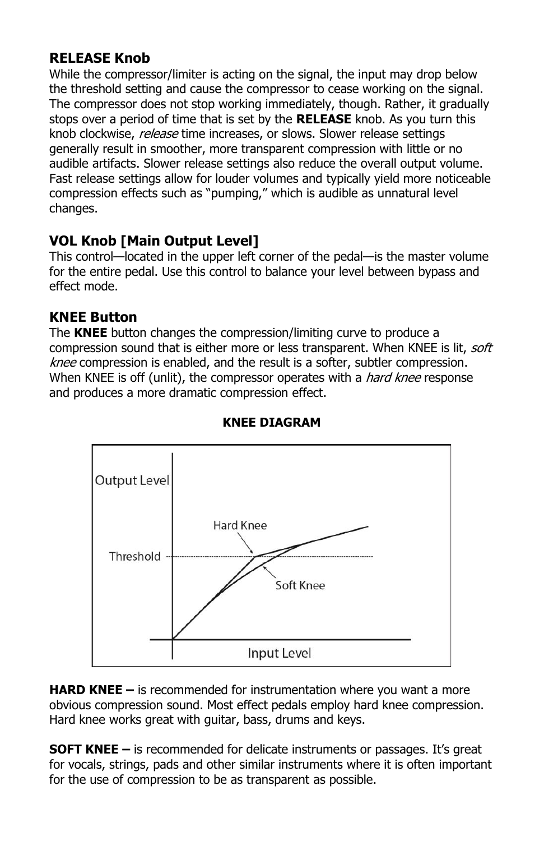#### **RELEASE Knob**

While the compressor/limiter is acting on the signal, the input may drop below the threshold setting and cause the compressor to cease working on the signal. The compressor does not stop working immediately, though. Rather, it gradually stops over a period of time that is set by the **RELEASE** knob. As you turn this knob clockwise, release time increases, or slows. Slower release settings generally result in smoother, more transparent compression with little or no audible artifacts. Slower release settings also reduce the overall output volume. Fast release settings allow for louder volumes and typically yield more noticeable compression effects such as "pumping," which is audible as unnatural level changes.

### **VOL Knob [Main Output Level]**

This control—located in the upper left corner of the pedal—is the master volume for the entire pedal. Use this control to balance your level between bypass and effect mode.

#### **KNEE Button**

The **KNEE** button changes the compression/limiting curve to produce a compression sound that is either more or less transparent. When KNEE is lit, *soft* knee compression is enabled, and the result is a softer, subtler compression. When KNEE is off (unlit), the compressor operates with a *hard knee* response and produces a more dramatic compression effect.



#### **KNEE DIAGRAM**

**HARD KNEE –** is recommended for instrumentation where you want a more obvious compression sound. Most effect pedals employ hard knee compression. Hard knee works great with guitar, bass, drums and keys.

**SOFT KNEE –** is recommended for delicate instruments or passages. It's great for vocals, strings, pads and other similar instruments where it is often important for the use of compression to be as transparent as possible.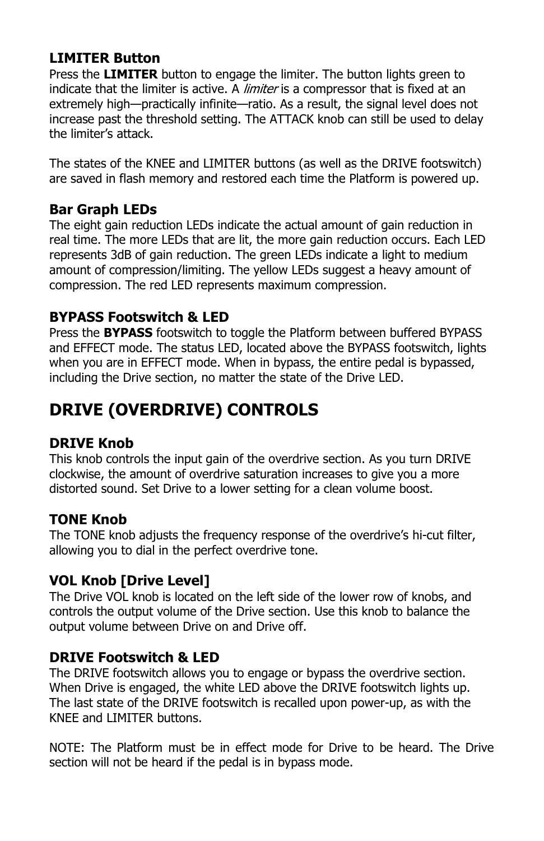#### **LIMITER Button**

Press the **LIMITER** button to engage the limiter. The button lights green to indicate that the limiter is active. A *limiter* is a compressor that is fixed at an extremely high—practically infinite—ratio. As a result, the signal level does not increase past the threshold setting. The ATTACK knob can still be used to delay the limiter's attack.

The states of the KNEE and LIMITER buttons (as well as the DRIVE footswitch) are saved in flash memory and restored each time the Platform is powered up.

#### **Bar Graph LEDs**

The eight gain reduction LEDs indicate the actual amount of gain reduction in real time. The more LEDs that are lit, the more gain reduction occurs. Each LED represents 3dB of gain reduction. The green LEDs indicate a light to medium amount of compression/limiting. The yellow LEDs suggest a heavy amount of compression. The red LED represents maximum compression.

#### **BYPASS Footswitch & LED**

Press the **BYPASS** footswitch to toggle the Platform between buffered BYPASS and EFFECT mode. The status LED, located above the BYPASS footswitch, lights when you are in EFFECT mode. When in bypass, the entire pedal is bypassed, including the Drive section, no matter the state of the Drive LED.

# **DRIVE (OVERDRIVE) CONTROLS**

#### **DRIVE Knob**

This knob controls the input gain of the overdrive section. As you turn DRIVE clockwise, the amount of overdrive saturation increases to give you a more distorted sound. Set Drive to a lower setting for a clean volume boost.

#### **TONE Knob**

The TONE knob adjusts the frequency response of the overdrive's hi-cut filter, allowing you to dial in the perfect overdrive tone.

#### **VOL Knob [Drive Level]**

The Drive VOL knob is located on the left side of the lower row of knobs, and controls the output volume of the Drive section. Use this knob to balance the output volume between Drive on and Drive off.

#### **DRIVE Footswitch & LED**

The DRIVE footswitch allows you to engage or bypass the overdrive section. When Drive is engaged, the white LED above the DRIVE footswitch lights up. The last state of the DRIVE footswitch is recalled upon power-up, as with the KNEE and LIMITER buttons.

NOTE: The Platform must be in effect mode for Drive to be heard. The Drive section will not be heard if the pedal is in bypass mode.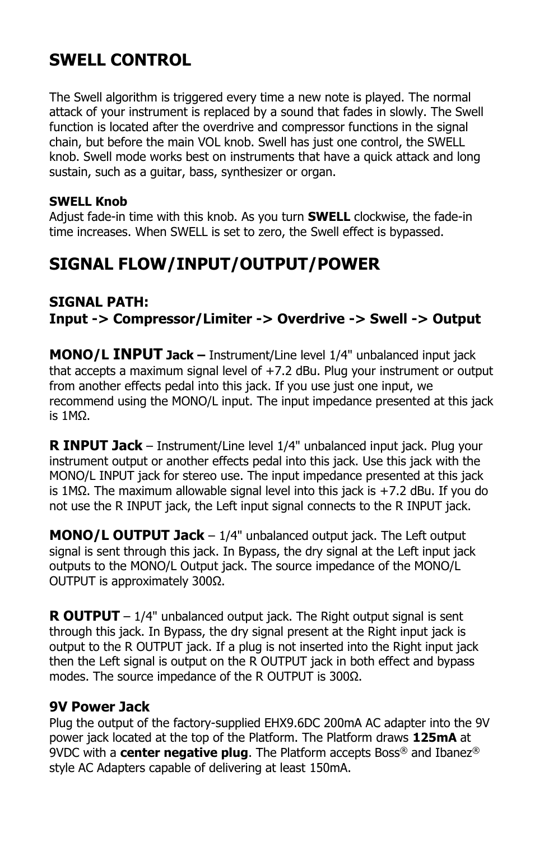# **SWELL CONTROL**

The Swell algorithm is triggered every time a new note is played. The normal attack of your instrument is replaced by a sound that fades in slowly. The Swell function is located after the overdrive and compressor functions in the signal chain, but before the main VOL knob. Swell has just one control, the SWELL knob. Swell mode works best on instruments that have a quick attack and long sustain, such as a guitar, bass, synthesizer or organ.

#### **SWELL Knob**

Adjust fade-in time with this knob. As you turn **SWELL** clockwise, the fade-in time increases. When SWELL is set to zero, the Swell effect is bypassed.

# **SIGNAL FLOW/INPUT/OUTPUT/POWER**

#### **SIGNAL PATH: Input -> Compressor/Limiter -> Overdrive -> Swell -> Output**

**MONO/L INPUT Jack –** Instrument/Line level 1/4" unbalanced input jack that accepts a maximum signal level of +7.2 dBu. Plug your instrument or output from another effects pedal into this jack. If you use just one input, we recommend using the MONO/L input. The input impedance presented at this jack is 1MΩ.

**R INPUT Jack** – Instrument/Line level 1/4" unbalanced input jack. Plug your instrument output or another effects pedal into this jack. Use this jack with the MONO/L INPUT jack for stereo use. The input impedance presented at this jack is 1MΩ. The maximum allowable signal level into this jack is +7.2 dBu. If you do not use the R INPUT jack, the Left input signal connects to the R INPUT jack.

**MONO/L OUTPUT Jack** – 1/4" unbalanced output jack. The Left output signal is sent through this jack. In Bypass, the dry signal at the Left input jack outputs to the MONO/L Output jack. The source impedance of the MONO/L OUTPUT is approximately 300Ω.

**R OUTPUT** – 1/4" unbalanced output jack. The Right output signal is sent through this jack. In Bypass, the dry signal present at the Right input jack is output to the R OUTPUT jack. If a plug is not inserted into the Right input jack then the Left signal is output on the R OUTPUT jack in both effect and bypass modes. The source impedance of the R OUTPUT is 300Ω.

#### **9V Power Jack**

Plug the output of the factory-supplied EHX9.6DC 200mA AC adapter into the 9V power jack located at the top of the Platform. The Platform draws **125mA** at 9VDC with a **center negative plug**. The Platform accepts Boss® and Ibanez® style AC Adapters capable of delivering at least 150mA.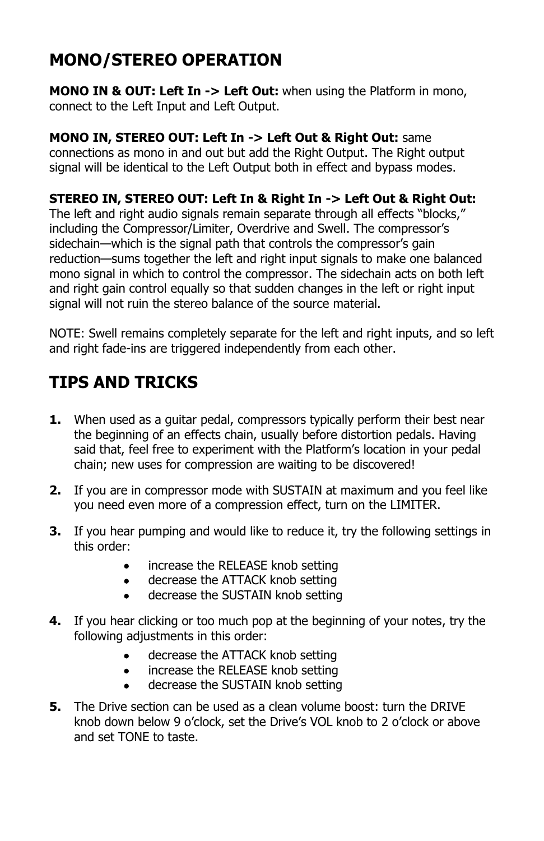# **MONO/STEREO OPERATION**

**MONO IN & OUT: Left In -> Left Out:** when using the Platform in mono, connect to the Left Input and Left Output.

#### **MONO IN, STEREO OUT: Left In -> Left Out & Right Out:** same connections as mono in and out but add the Right Output. The Right output signal will be identical to the Left Output both in effect and bypass modes.

#### **STEREO IN, STEREO OUT: Left In & Right In -> Left Out & Right Out:**

The left and right audio signals remain separate through all effects "blocks," including the Compressor/Limiter, Overdrive and Swell. The compressor's sidechain—which is the signal path that controls the compressor's gain reduction—sums together the left and right input signals to make one balanced mono signal in which to control the compressor. The sidechain acts on both left and right gain control equally so that sudden changes in the left or right input signal will not ruin the stereo balance of the source material.

NOTE: Swell remains completely separate for the left and right inputs, and so left and right fade-ins are triggered independently from each other.

# **TIPS AND TRICKS**

- **1.** When used as a guitar pedal, compressors typically perform their best near the beginning of an effects chain, usually before distortion pedals. Having said that, feel free to experiment with the Platform's location in your pedal chain; new uses for compression are waiting to be discovered!
- **2.** If you are in compressor mode with SUSTAIN at maximum and you feel like you need even more of a compression effect, turn on the LIMITER.
- **3.** If you hear pumping and would like to reduce it, try the following settings in this order:
	- increase the RELEASE knob setting
	- decrease the ATTACK knob setting
	- decrease the SUSTAIN knob setting
- **4.** If you hear clicking or too much pop at the beginning of your notes, try the following adjustments in this order:
	- decrease the ATTACK knob setting
	- increase the RELEASE knob setting
	- decrease the SUSTAIN knob setting
- **5.** The Drive section can be used as a clean volume boost: turn the DRIVE knob down below 9 o'clock, set the Drive's VOL knob to 2 o'clock or above and set TONE to taste.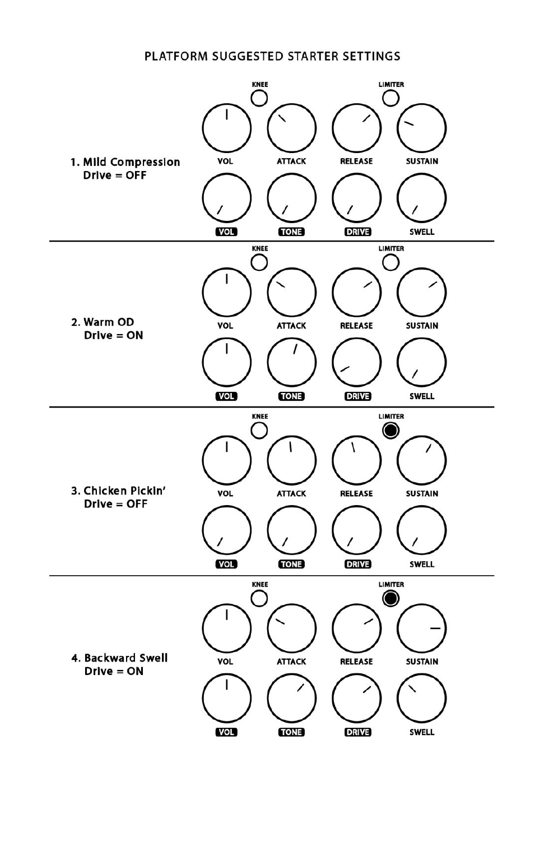#### PLATFORM SUGGESTED STARTER SETTINGS